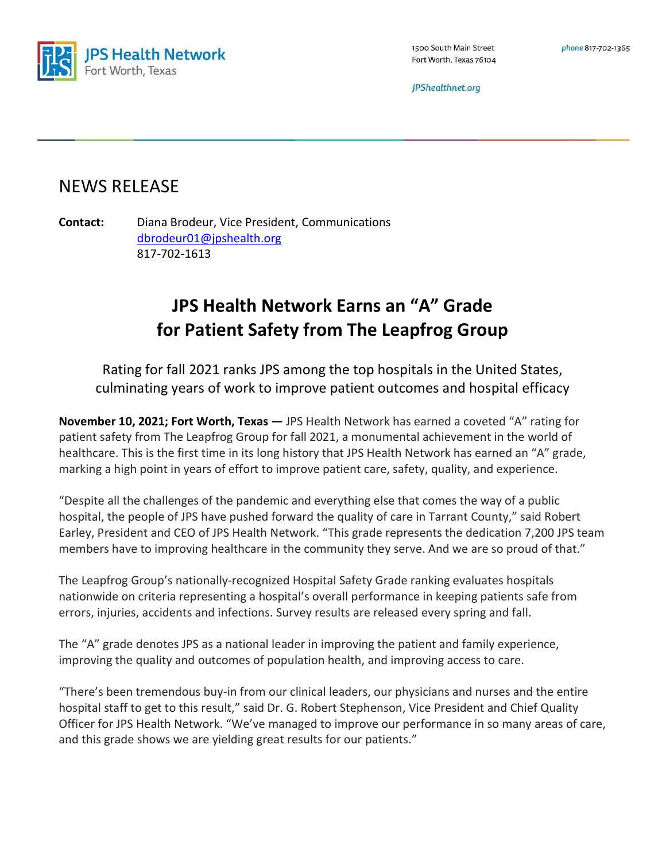

1500 South Main Street Fort Worth, Texas 76104

JPShealthnet.org

## NEWS RELEASE

Contact: Diana Brodeur, Vice President, Communications dbrodeur01@jpshealth.org 817-702-1613

## JPS Health Network Earns an "A" Grade for Patient Safety from The Leapfrog Group

Rating for fall 2021 ranks JPS among the top hospitals in the United States, culminating years of work to improve patient outcomes and hospital efficacy

November 10, 2021; Fort Worth, Texas — JPS Health Network has earned a coveted "A" rating for patient safety from The Leapfrog Group for fall 2021, a monumental achievement in the world of healthcare. This is the first time in its long history that JPS Health Network has earned an "A" grade, marking a high point in years of effort to improve patient care, safety, quality, and experience.

"Despite all the challenges of the pandemic and everything else that comes the way of a public hospital, the people of JPS have pushed forward the quality of care in Tarrant County," said Robert Earley, President and CEO of JPS Health Network. "This grade represents the dedication 7,200 JPS team members have to improving healthcare in the community they serve. And we are so proud of that."

The Leapfrog Group's nationally-recognized Hospital Safety Grade ranking evaluates hospitals nationwide on criteria representing a hospital's overall performance in keeping patients safe from errors, injuries, accidents and infections. Survey results are released every spring and fall.

The "A" grade denotes JPS as a national leader in improving the patient and family experience, improving the quality and outcomes of population health, and improving access to care.

"There's been tremendous buy-in from our clinical leaders, our physicians and nurses and the entire hospital staff to get to this result," said Dr. G. Robert Stephenson, Vice President and Chief Quality Officer for JPS Health Network. "We've managed to improve our performance in so many areas of care, and this grade shows we are yielding great results for our patients."